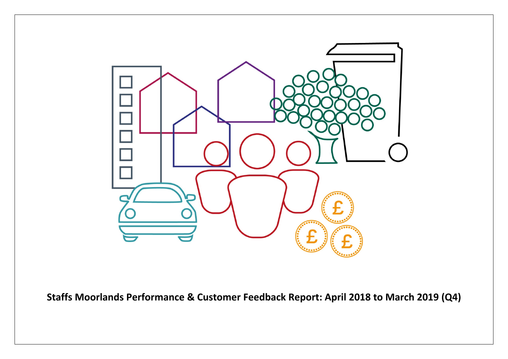

**Staffs Moorlands Performance & Customer Feedback Report: April 2018 to March 2019 (Q4)**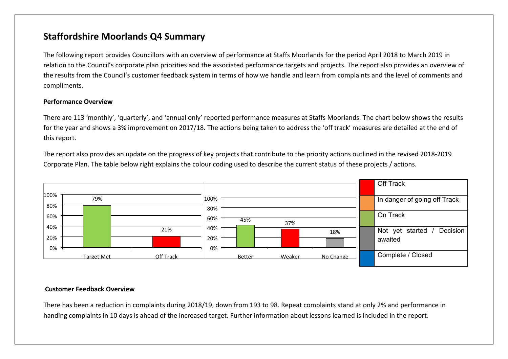## **Staffordshire Moorlands Q4 Summary**

The following report provides Councillors with an overview of performance at Staffs Moorlands for the period April 2018 to March 2019 in relation to the Council's corporate plan priorities and the associated performance targets and projects. The report also provides an overview of the results from the Council's customer feedback system in terms of how we handle and learn from complaints and the level of comments and compliments.

#### **Performance Overview**

There are 113 'monthly', 'quarterly', and 'annual only' reported performance measures at Staffs Moorlands. The chart below shows the results for the year and shows a 3% improvement on 2017/18. The actions being taken to address the 'off track' measures are detailed at the end of this report.

The report also provides an update on the progress of key projects that contribute to the priority actions outlined in the revised 2018-2019 Corporate Plan. The table below right explains the colour coding used to describe the current status of these projects / actions.



#### **Customer Feedback Overview**

There has been a reduction in complaints during 2018/19, down from 193 to 98. Repeat complaints stand at only 2% and performance in handing complaints in 10 days is ahead of the increased target. Further information about lessons learned is included in the report.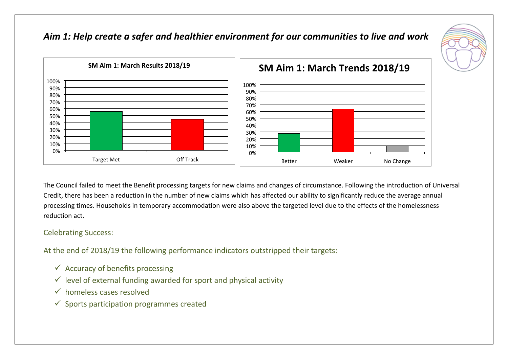

## *Aim 1: Help create a safer and healthier environment for our communities to live and work*

The Council failed to meet the Benefit processing targets for new claims and changes of circumstance. Following the introduction of Universal Credit, there has been a reduction in the number of new claims which has affected our ability to significantly reduce the average annual processing times. Households in temporary accommodation were also above the targeted level due to the effects of the homelessness reduction act.

### Celebrating Success:

At the end of 2018/19 the following performance indicators outstripped their targets:

- $\checkmark$  Accuracy of benefits processing
- $\checkmark$  level of external funding awarded for sport and physical activity
- $\checkmark$  homeless cases resolved
- $\checkmark$  Sports participation programmes created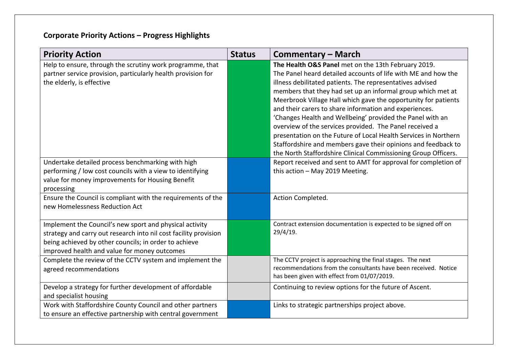| <b>Priority Action</b>                                                                                                                                                                                                               | <b>Status</b> | <b>Commentary – March</b>                                                                                                                                                                                                                                                                                                                                                                                                                                                                                                                                                                                                                                                                                  |
|--------------------------------------------------------------------------------------------------------------------------------------------------------------------------------------------------------------------------------------|---------------|------------------------------------------------------------------------------------------------------------------------------------------------------------------------------------------------------------------------------------------------------------------------------------------------------------------------------------------------------------------------------------------------------------------------------------------------------------------------------------------------------------------------------------------------------------------------------------------------------------------------------------------------------------------------------------------------------------|
| Help to ensure, through the scrutiny work programme, that<br>partner service provision, particularly health provision for<br>the elderly, is effective                                                                               |               | The Health O&S Panel met on the 13th February 2019.<br>The Panel heard detailed accounts of life with ME and how the<br>illness debilitated patients. The representatives advised<br>members that they had set up an informal group which met at<br>Meerbrook Village Hall which gave the opportunity for patients<br>and their carers to share information and experiences.<br>'Changes Health and Wellbeing' provided the Panel with an<br>overview of the services provided. The Panel received a<br>presentation on the Future of Local Health Services in Northern<br>Staffordshire and members gave their opinions and feedback to<br>the North Staffordshire Clinical Commissioning Group Officers. |
| Undertake detailed process benchmarking with high<br>performing / low cost councils with a view to identifying<br>value for money improvements for Housing Benefit<br>processing                                                     |               | Report received and sent to AMT for approval for completion of<br>this action - May 2019 Meeting.                                                                                                                                                                                                                                                                                                                                                                                                                                                                                                                                                                                                          |
| Ensure the Council is compliant with the requirements of the<br>new Homelessness Reduction Act                                                                                                                                       |               | Action Completed.                                                                                                                                                                                                                                                                                                                                                                                                                                                                                                                                                                                                                                                                                          |
| Implement the Council's new sport and physical activity<br>strategy and carry out research into nil cost facility provision<br>being achieved by other councils; in order to achieve<br>improved health and value for money outcomes |               | Contract extension documentation is expected to be signed off on<br>$29/4/19$ .                                                                                                                                                                                                                                                                                                                                                                                                                                                                                                                                                                                                                            |
| Complete the review of the CCTV system and implement the<br>agreed recommendations                                                                                                                                                   |               | The CCTV project is approaching the final stages. The next<br>recommendations from the consultants have been received. Notice<br>has been given with effect from 01/07/2019.                                                                                                                                                                                                                                                                                                                                                                                                                                                                                                                               |
| Develop a strategy for further development of affordable<br>and specialist housing                                                                                                                                                   |               | Continuing to review options for the future of Ascent.                                                                                                                                                                                                                                                                                                                                                                                                                                                                                                                                                                                                                                                     |
| Work with Staffordshire County Council and other partners<br>to ensure an effective partnership with central government                                                                                                              |               | Links to strategic partnerships project above.                                                                                                                                                                                                                                                                                                                                                                                                                                                                                                                                                                                                                                                             |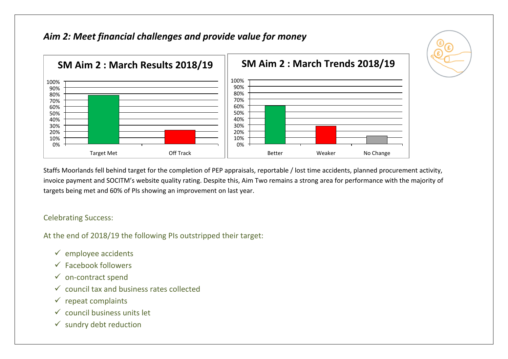## *Aim 2: Meet financial challenges and provide value for money*



Staffs Moorlands fell behind target for the completion of PEP appraisals, reportable / lost time accidents, planned procurement activity, invoice payment and SOCITM's website quality rating. Despite this, Aim Two remains a strong area for performance with the majority of targets being met and 60% of PIs showing an improvement on last year.

### Celebrating Success:

At the end of 2018/19 the following PIs outstripped their target:

- $\checkmark$  employee accidents
- $\checkmark$  Facebook followers
- $\checkmark$  on-contract spend
- $\checkmark$  council tax and business rates collected
- $\checkmark$  repeat complaints
- $\checkmark$  council business units let
- $\checkmark$  sundry debt reduction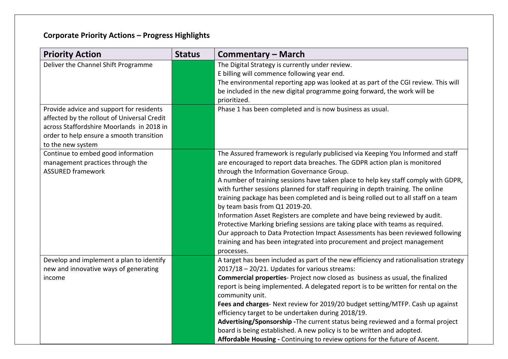| <b>Priority Action</b>                                                                                                                                                                                | <b>Status</b> | <b>Commentary – March</b>                                                                                                                                                                                                                                                                                                                                                                                                                                                                                                                                                                                                                                                                                                                                                                                                                              |
|-------------------------------------------------------------------------------------------------------------------------------------------------------------------------------------------------------|---------------|--------------------------------------------------------------------------------------------------------------------------------------------------------------------------------------------------------------------------------------------------------------------------------------------------------------------------------------------------------------------------------------------------------------------------------------------------------------------------------------------------------------------------------------------------------------------------------------------------------------------------------------------------------------------------------------------------------------------------------------------------------------------------------------------------------------------------------------------------------|
| Deliver the Channel Shift Programme                                                                                                                                                                   |               | The Digital Strategy is currently under review.<br>E billing will commence following year end.<br>The environmental reporting app was looked at as part of the CGI review. This will<br>be included in the new digital programme going forward, the work will be<br>prioritized.                                                                                                                                                                                                                                                                                                                                                                                                                                                                                                                                                                       |
| Provide advice and support for residents<br>affected by the rollout of Universal Credit<br>across Staffordshire Moorlands in 2018 in<br>order to help ensure a smooth transition<br>to the new system |               | Phase 1 has been completed and is now business as usual.                                                                                                                                                                                                                                                                                                                                                                                                                                                                                                                                                                                                                                                                                                                                                                                               |
| Continue to embed good information<br>management practices through the<br><b>ASSURED framework</b>                                                                                                    |               | The Assured framework is regularly publicised via Keeping You Informed and staff<br>are encouraged to report data breaches. The GDPR action plan is monitored<br>through the Information Governance Group.<br>A number of training sessions have taken place to help key staff comply with GDPR,<br>with further sessions planned for staff requiring in depth training. The online<br>training package has been completed and is being rolled out to all staff on a team<br>by team basis from Q1 2019-20.<br>Information Asset Registers are complete and have being reviewed by audit.<br>Protective Marking briefing sessions are taking place with teams as required.<br>Our approach to Data Protection Impact Assessments has been reviewed following<br>training and has been integrated into procurement and project management<br>processes. |
| Develop and implement a plan to identify<br>new and innovative ways of generating<br>income                                                                                                           |               | A target has been included as part of the new efficiency and rationalisation strategy<br>2017/18 - 20/21. Updates for various streams:<br><b>Commercial properties</b> - Project now closed as business as usual, the finalized<br>report is being implemented. A delegated report is to be written for rental on the<br>community unit.<br>Fees and charges- Next review for 2019/20 budget setting/MTFP. Cash up against<br>efficiency target to be undertaken during 2018/19.<br>Advertising/Sponsorship - The current status being reviewed and a formal project<br>board is being established. A new policy is to be written and adopted.<br>Affordable Housing - Continuing to review options for the future of Ascent.                                                                                                                          |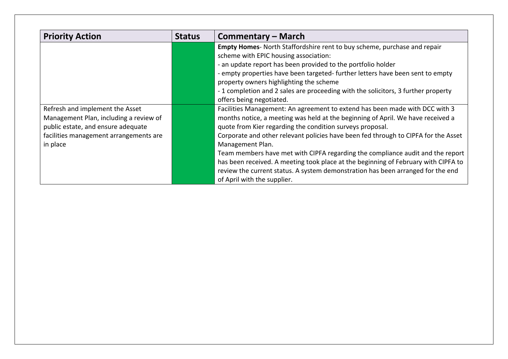| <b>Priority Action</b>                                                                                                                                                | <b>Status</b> | Commentary – March                                                                                                                                                                                                                                                                                                                                                                                                                                                                                                                                                                                                              |
|-----------------------------------------------------------------------------------------------------------------------------------------------------------------------|---------------|---------------------------------------------------------------------------------------------------------------------------------------------------------------------------------------------------------------------------------------------------------------------------------------------------------------------------------------------------------------------------------------------------------------------------------------------------------------------------------------------------------------------------------------------------------------------------------------------------------------------------------|
|                                                                                                                                                                       |               | Empty Homes- North Staffordshire rent to buy scheme, purchase and repair<br>scheme with EPIC housing association:<br>- an update report has been provided to the portfolio holder<br>- empty properties have been targeted- further letters have been sent to empty<br>property owners highlighting the scheme<br>- 1 completion and 2 sales are proceeding with the solicitors, 3 further property<br>offers being negotiated.                                                                                                                                                                                                 |
| Refresh and implement the Asset<br>Management Plan, including a review of<br>public estate, and ensure adequate<br>facilities management arrangements are<br>in place |               | Facilities Management: An agreement to extend has been made with DCC with 3<br>months notice, a meeting was held at the beginning of April. We have received a<br>quote from Kier regarding the condition surveys proposal.<br>Corporate and other relevant policies have been fed through to CIPFA for the Asset<br>Management Plan.<br>Team members have met with CIPFA regarding the compliance audit and the report<br>has been received. A meeting took place at the beginning of February with CIPFA to<br>review the current status. A system demonstration has been arranged for the end<br>of April with the supplier. |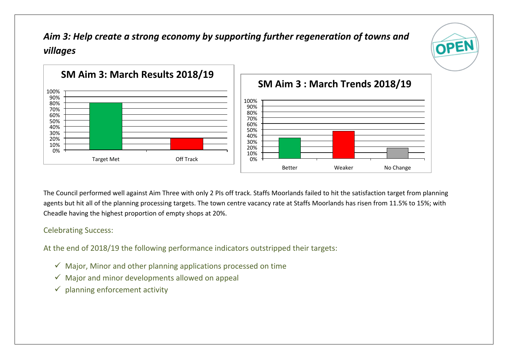# *Aim 3: Help create a strong economy by supporting further regeneration of towns and villages*

OPE



The Council performed well against Aim Three with only 2 PIs off track. Staffs Moorlands failed to hit the satisfaction target from planning agents but hit all of the planning processing targets. The town centre vacancy rate at Staffs Moorlands has risen from 11.5% to 15%; with Cheadle having the highest proportion of empty shops at 20%.

### Celebrating Success:

At the end of 2018/19 the following performance indicators outstripped their targets:

- $\checkmark$  Major, Minor and other planning applications processed on time
- $\checkmark$  Major and minor developments allowed on appeal
- $\checkmark$  planning enforcement activity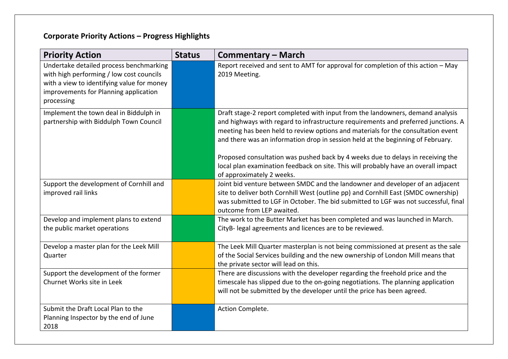| <b>Priority Action</b>                                                                                                                                                                   | <b>Status</b> | <b>Commentary – March</b>                                                                                                                                                                                                                                                                                                                                                                                                                                                                                                                         |
|------------------------------------------------------------------------------------------------------------------------------------------------------------------------------------------|---------------|---------------------------------------------------------------------------------------------------------------------------------------------------------------------------------------------------------------------------------------------------------------------------------------------------------------------------------------------------------------------------------------------------------------------------------------------------------------------------------------------------------------------------------------------------|
| Undertake detailed process benchmarking<br>with high performing / low cost councils<br>with a view to identifying value for money<br>improvements for Planning application<br>processing |               | Report received and sent to AMT for approval for completion of this action - May<br>2019 Meeting.                                                                                                                                                                                                                                                                                                                                                                                                                                                 |
| Implement the town deal in Biddulph in<br>partnership with Biddulph Town Council                                                                                                         |               | Draft stage-2 report completed with input from the landowners, demand analysis<br>and highways with regard to infrastructure requirements and preferred junctions. A<br>meeting has been held to review options and materials for the consultation event<br>and there was an information drop in session held at the beginning of February.<br>Proposed consultation was pushed back by 4 weeks due to delays in receiving the<br>local plan examination feedback on site. This will probably have an overall impact<br>of approximately 2 weeks. |
| Support the development of Cornhill and<br>improved rail links                                                                                                                           |               | Joint bid venture between SMDC and the landowner and developer of an adjacent<br>site to deliver both Cornhill West (outline pp) and Cornhill East (SMDC ownership)<br>was submitted to LGF in October. The bid submitted to LGF was not successful, final<br>outcome from LEP awaited.                                                                                                                                                                                                                                                           |
| Develop and implement plans to extend<br>the public market operations                                                                                                                    |               | The work to the Butter Market has been completed and was launched in March.<br>CityB- legal agreements and licences are to be reviewed.                                                                                                                                                                                                                                                                                                                                                                                                           |
| Develop a master plan for the Leek Mill<br>Quarter                                                                                                                                       |               | The Leek Mill Quarter masterplan is not being commissioned at present as the sale<br>of the Social Services building and the new ownership of London Mill means that<br>the private sector will lead on this.                                                                                                                                                                                                                                                                                                                                     |
| Support the development of the former<br>Churnet Works site in Leek                                                                                                                      |               | There are discussions with the developer regarding the freehold price and the<br>timescale has slipped due to the on-going negotiations. The planning application<br>will not be submitted by the developer until the price has been agreed.                                                                                                                                                                                                                                                                                                      |
| Submit the Draft Local Plan to the<br>Planning Inspector by the end of June<br>2018                                                                                                      |               | Action Complete.                                                                                                                                                                                                                                                                                                                                                                                                                                                                                                                                  |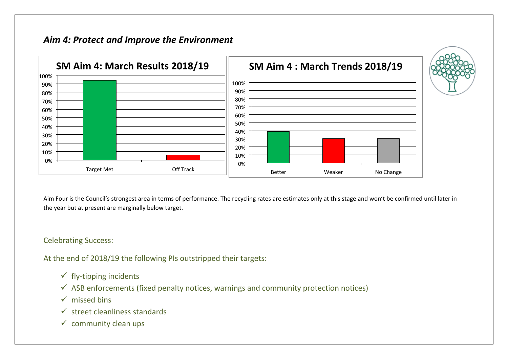## *Aim 4: Protect and Improve the Environment*



Aim Four is the Council's strongest area in terms of performance. The recycling rates are estimates only at this stage and won't be confirmed until later in the year but at present are marginally below target.

#### Celebrating Success:

At the end of 2018/19 the following PIs outstripped their targets:

- $\checkmark$  fly-tipping incidents
- $\checkmark$  ASB enforcements (fixed penalty notices, warnings and community protection notices)
- $\checkmark$  missed bins
- $\checkmark$  street cleanliness standards
- $\checkmark$  community clean ups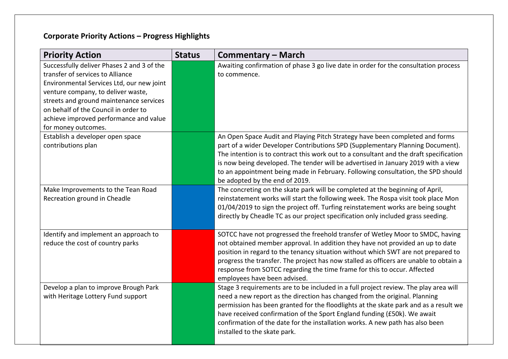| <b>Priority Action</b>                                                                                                                                                                                                                                                                                                | <b>Status</b> | <b>Commentary – March</b>                                                                                                                                                                                                                                                                                                                                                                                                                                           |
|-----------------------------------------------------------------------------------------------------------------------------------------------------------------------------------------------------------------------------------------------------------------------------------------------------------------------|---------------|---------------------------------------------------------------------------------------------------------------------------------------------------------------------------------------------------------------------------------------------------------------------------------------------------------------------------------------------------------------------------------------------------------------------------------------------------------------------|
| Successfully deliver Phases 2 and 3 of the<br>transfer of services to Alliance<br>Environmental Services Ltd, our new joint<br>venture company, to deliver waste,<br>streets and ground maintenance services<br>on behalf of the Council in order to<br>achieve improved performance and value<br>for money outcomes. |               | Awaiting confirmation of phase 3 go live date in order for the consultation process<br>to commence.                                                                                                                                                                                                                                                                                                                                                                 |
| Establish a developer open space<br>contributions plan                                                                                                                                                                                                                                                                |               | An Open Space Audit and Playing Pitch Strategy have been completed and forms<br>part of a wider Developer Contributions SPD (Supplementary Planning Document).<br>The intention is to contract this work out to a consultant and the draft specification<br>is now being developed. The tender will be advertised in January 2019 with a view<br>to an appointment being made in February. Following consultation, the SPD should<br>be adopted by the end of 2019. |
| Make Improvements to the Tean Road<br>Recreation ground in Cheadle                                                                                                                                                                                                                                                    |               | The concreting on the skate park will be completed at the beginning of April,<br>reinstatement works will start the following week. The Rospa visit took place Mon<br>01/04/2019 to sign the project off. Turfing reinstatement works are being sought<br>directly by Cheadle TC as our project specification only included grass seeding.                                                                                                                          |
| Identify and implement an approach to<br>reduce the cost of country parks                                                                                                                                                                                                                                             |               | SOTCC have not progressed the freehold transfer of Wetley Moor to SMDC, having<br>not obtained member approval. In addition they have not provided an up to date<br>position in regard to the tenancy situation without which SWT are not prepared to<br>progress the transfer. The project has now stalled as officers are unable to obtain a<br>response from SOTCC regarding the time frame for this to occur. Affected<br>employees have been advised.          |
| Develop a plan to improve Brough Park<br>with Heritage Lottery Fund support                                                                                                                                                                                                                                           |               | Stage 3 requirements are to be included in a full project review. The play area will<br>need a new report as the direction has changed from the original. Planning<br>permission has been granted for the floodlights at the skate park and as a result we<br>have received confirmation of the Sport England funding (£50k). We await<br>confirmation of the date for the installation works. A new path has also been<br>installed to the skate park.             |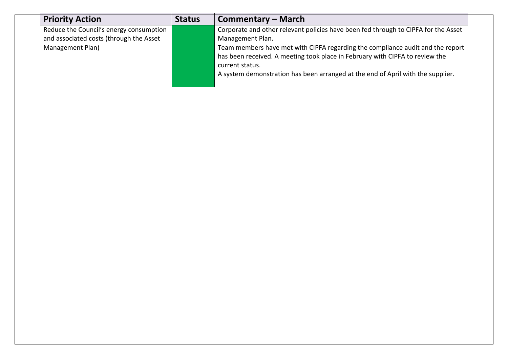| <b>Priority Action</b>                  | <b>Status</b> | Commentary – March                                                                 |
|-----------------------------------------|---------------|------------------------------------------------------------------------------------|
| Reduce the Council's energy consumption |               | Corporate and other relevant policies have been fed through to CIPFA for the Asset |
| and associated costs (through the Asset |               | Management Plan.                                                                   |
| Management Plan)                        |               | Team members have met with CIPFA regarding the compliance audit and the report     |
|                                         |               | has been received. A meeting took place in February with CIPFA to review the       |
|                                         |               | current status.                                                                    |
|                                         |               | A system demonstration has been arranged at the end of April with the supplier.    |
|                                         |               |                                                                                    |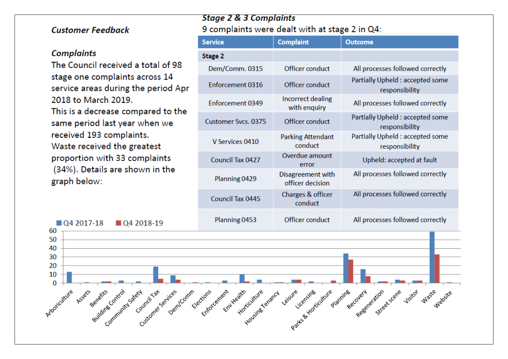### **Customer Feedback**

#### **Complaints**

The Council received a total of 98 stage one complaints across 14 service areas during the period Apr 2018 to March 2019. This is a decrease compared to the same period last year when we received 193 complaints. Waste received the greatest proportion with 33 complaints (34%). Details are shown in the graph below:

## **Stage 2 & 3 Complaints** 9 complaints were dealt with at stage 2 in Q4:

| <b>Service</b>             | <b>Complaint</b>                      | <b>Outcome</b>                                     |
|----------------------------|---------------------------------------|----------------------------------------------------|
| <b>Stage 2</b>             |                                       |                                                    |
| Dem/Comm. 0315             | Officer conduct                       | All processes followed correctly                   |
| Enforcement 0316           | Officer conduct                       | Partially Upheld : accepted some<br>responsibility |
| Enforcement 0349           | Incorrect dealing<br>with enquiry     | All processes followed correctly                   |
| <b>Customer Sycs. 0375</b> | Officer conduct                       | Partially Upheld : accepted some<br>responsibility |
| V Services 0410            | <b>Parking Attendant</b><br>conduct   | Partially Upheld : accepted some<br>responsibility |
| <b>Council Tax 0427</b>    | Overdue amount<br>error               | Upheld: accepted at fault                          |
| Planning 0429              | Disagreement with<br>officer decision | All processes followed correctly                   |
| <b>Council Tax 0445</b>    | Charges & officer<br>conduct          | All processes followed correctly                   |
| Planning 0453              | Officer conduct                       | All processes followed correctly                   |

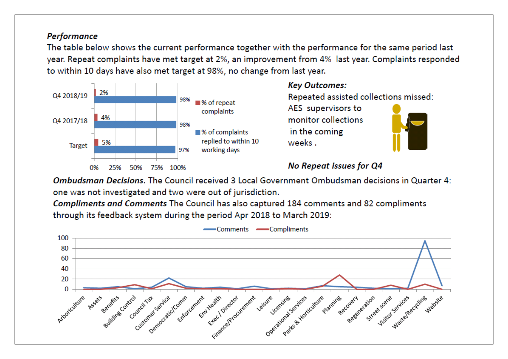### Performance

The table below shows the current performance together with the performance for the same period last year. Repeat complaints have met target at 2%, an improvement from 4% last year. Complaints responded to within 10 days have also met target at 98%, no change from last year.



## **Kev Outcomes:**

Repeated assisted collections missed:

AES supervisors to monitor collections in the coming weeks.



## **No Repeat issues for Q4**

Ombudsman Decisions. The Council received 3 Local Government Ombudsman decisions in Quarter 4: one was not investigated and two were out of jurisdiction.

Compliments and Comments The Council has also captured 184 comments and 82 compliments through its feedback system during the period Apr 2018 to March 2019:

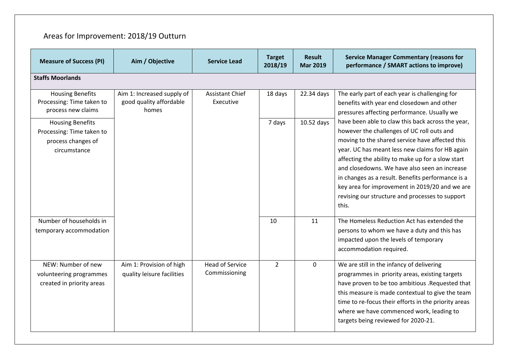# Areas for Improvement: 2018/19 Outturn

| <b>Measure of Success (PI)</b>                                                             | Aim / Objective                                                | <b>Service Lead</b>                     | <b>Target</b><br>2018/19 | <b>Result</b><br><b>Mar 2019</b> | <b>Service Manager Commentary (reasons for</b><br>performance / SMART actions to improve)                                                                                                                                                                                                                                                                                                                                                                                      |
|--------------------------------------------------------------------------------------------|----------------------------------------------------------------|-----------------------------------------|--------------------------|----------------------------------|--------------------------------------------------------------------------------------------------------------------------------------------------------------------------------------------------------------------------------------------------------------------------------------------------------------------------------------------------------------------------------------------------------------------------------------------------------------------------------|
| <b>Staffs Moorlands</b>                                                                    |                                                                |                                         |                          |                                  |                                                                                                                                                                                                                                                                                                                                                                                                                                                                                |
| <b>Housing Benefits</b><br>Processing: Time taken to<br>process new claims                 | Aim 1: Increased supply of<br>good quality affordable<br>homes | <b>Assistant Chief</b><br>Executive     | 18 days                  | 22.34 days                       | The early part of each year is challenging for<br>benefits with year end closedown and other<br>pressures affecting performance. Usually we                                                                                                                                                                                                                                                                                                                                    |
| <b>Housing Benefits</b><br>Processing: Time taken to<br>process changes of<br>circumstance |                                                                |                                         | 7 days                   | $10.52$ days                     | have been able to claw this back across the year,<br>however the challenges of UC roll outs and<br>moving to the shared service have affected this<br>year. UC has meant less new claims for HB again<br>affecting the ability to make up for a slow start<br>and closedowns. We have also seen an increase<br>in changes as a result. Benefits performance is a<br>key area for improvement in 2019/20 and we are<br>revising our structure and processes to support<br>this. |
| Number of households in<br>temporary accommodation                                         |                                                                |                                         | 10                       | 11                               | The Homeless Reduction Act has extended the<br>persons to whom we have a duty and this has<br>impacted upon the levels of temporary<br>accommodation required.                                                                                                                                                                                                                                                                                                                 |
| NEW: Number of new<br>volunteering programmes<br>created in priority areas                 | Aim 1: Provision of high<br>quality leisure facilities         | <b>Head of Service</b><br>Commissioning | $\overline{2}$           | $\mathbf 0$                      | We are still in the infancy of delivering<br>programmes in priority areas, existing targets<br>have proven to be too ambitious . Requested that<br>this measure is made contextual to give the team<br>time to re-focus their efforts in the priority areas<br>where we have commenced work, leading to<br>targets being reviewed for 2020-21.                                                                                                                                 |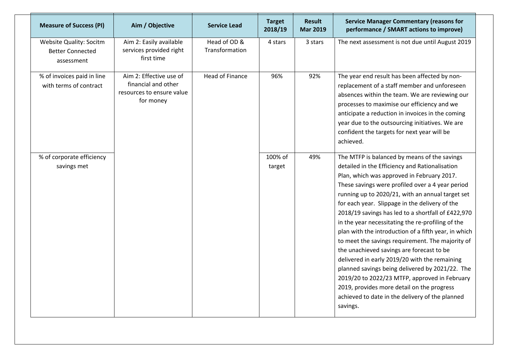| <b>Measure of Success (PI)</b>                                          | Aim / Objective                                                                          | Service Lead                   | <b>Target</b><br>2018/19 | <b>Result</b><br><b>Mar 2019</b> | <b>Service Manager Commentary (reasons for</b><br>performance / SMART actions to improve)                                                                                                                                                                                                                                                                                                                                                                                                                                                                                                                                                                                                                                                                                                                                                    |
|-------------------------------------------------------------------------|------------------------------------------------------------------------------------------|--------------------------------|--------------------------|----------------------------------|----------------------------------------------------------------------------------------------------------------------------------------------------------------------------------------------------------------------------------------------------------------------------------------------------------------------------------------------------------------------------------------------------------------------------------------------------------------------------------------------------------------------------------------------------------------------------------------------------------------------------------------------------------------------------------------------------------------------------------------------------------------------------------------------------------------------------------------------|
| <b>Website Quality: Socitm</b><br><b>Better Connected</b><br>assessment | Aim 2: Easily available<br>services provided right<br>first time                         | Head of OD &<br>Transformation | 4 stars                  | 3 stars                          | The next assessment is not due until August 2019                                                                                                                                                                                                                                                                                                                                                                                                                                                                                                                                                                                                                                                                                                                                                                                             |
| % of invoices paid in line<br>with terms of contract                    | Aim 2: Effective use of<br>financial and other<br>resources to ensure value<br>for money | <b>Head of Finance</b>         | 96%                      | 92%                              | The year end result has been affected by non-<br>replacement of a staff member and unforeseen<br>absences within the team. We are reviewing our<br>processes to maximise our efficiency and we<br>anticipate a reduction in invoices in the coming<br>year due to the outsourcing initiatives. We are<br>confident the targets for next year will be<br>achieved.                                                                                                                                                                                                                                                                                                                                                                                                                                                                            |
| % of corporate efficiency<br>savings met                                |                                                                                          |                                | 100% of<br>target        | 49%                              | The MTFP is balanced by means of the savings<br>detailed in the Efficiency and Rationalisation<br>Plan, which was approved in February 2017.<br>These savings were profiled over a 4 year period<br>running up to 2020/21, with an annual target set<br>for each year. Slippage in the delivery of the<br>2018/19 savings has led to a shortfall of £422,970<br>in the year necessitating the re-profiling of the<br>plan with the introduction of a fifth year, in which<br>to meet the savings requirement. The majority of<br>the unachieved savings are forecast to be<br>delivered in early 2019/20 with the remaining<br>planned savings being delivered by 2021/22. The<br>2019/20 to 2022/23 MTFP, approved in February<br>2019, provides more detail on the progress<br>achieved to date in the delivery of the planned<br>savings. |